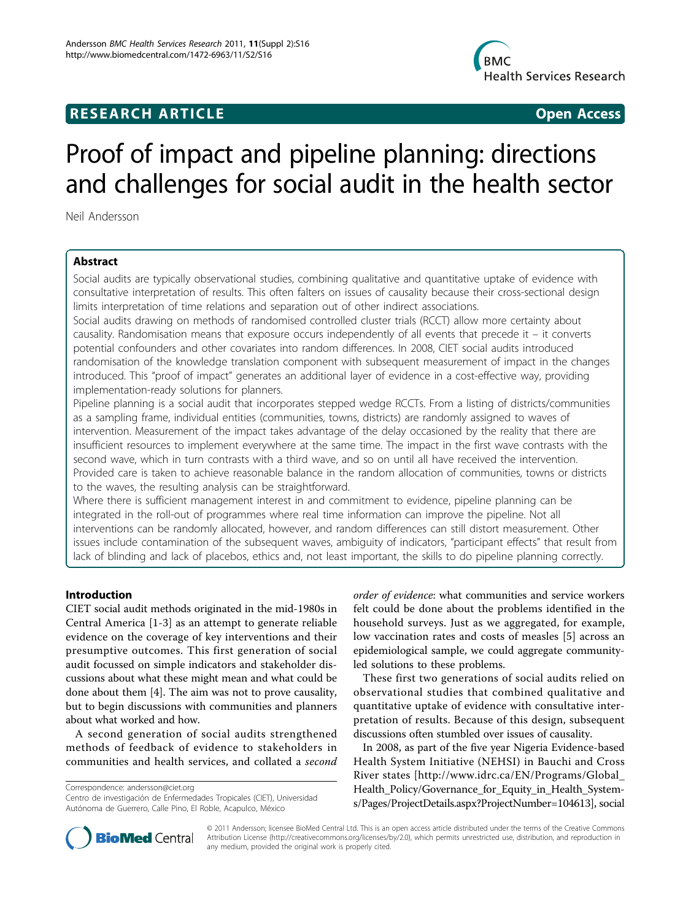# **RESEARCH ARTICLE Example 2018 CONSIDERING ACCESS**



# Proof of impact and pipeline planning: directions and challenges for social audit in the health sector

Neil Andersson

# Abstract

Social audits are typically observational studies, combining qualitative and quantitative uptake of evidence with consultative interpretation of results. This often falters on issues of causality because their cross-sectional design limits interpretation of time relations and separation out of other indirect associations.

Social audits drawing on methods of randomised controlled cluster trials (RCCT) allow more certainty about causality. Randomisation means that exposure occurs independently of all events that precede it – it converts potential confounders and other covariates into random differences. In 2008, CIET social audits introduced randomisation of the knowledge translation component with subsequent measurement of impact in the changes introduced. This "proof of impact" generates an additional layer of evidence in a cost-effective way, providing implementation-ready solutions for planners.

Pipeline planning is a social audit that incorporates stepped wedge RCCTs. From a listing of districts/communities as a sampling frame, individual entities (communities, towns, districts) are randomly assigned to waves of intervention. Measurement of the impact takes advantage of the delay occasioned by the reality that there are insufficient resources to implement everywhere at the same time. The impact in the first wave contrasts with the second wave, which in turn contrasts with a third wave, and so on until all have received the intervention. Provided care is taken to achieve reasonable balance in the random allocation of communities, towns or districts to the waves, the resulting analysis can be straightforward.

Where there is sufficient management interest in and commitment to evidence, pipeline planning can be integrated in the roll-out of programmes where real time information can improve the pipeline. Not all interventions can be randomly allocated, however, and random differences can still distort measurement. Other issues include contamination of the subsequent waves, ambiguity of indicators, "participant effects" that result from lack of blinding and lack of placebos, ethics and, not least important, the skills to do pipeline planning correctly.

# Introduction

CIET social audit methods originated in the mid-1980s in Central America [[1-3](#page-6-0)] as an attempt to generate reliable evidence on the coverage of key interventions and their presumptive outcomes. This first generation of social audit focussed on simple indicators and stakeholder discussions about what these might mean and what could be done about them [\[4](#page-6-0)]. The aim was not to prove causality, but to begin discussions with communities and planners about what worked and how.

A second generation of social audits strengthened methods of feedback of evidence to stakeholders in communities and health services, and collated a second

Correspondence: [andersson@ciet.org](mailto:andersson@ciet.org)

order of evidence: what communities and service workers felt could be done about the problems identified in the household surveys. Just as we aggregated, for example, low vaccination rates and costs of measles [\[5](#page-6-0)] across an epidemiological sample, we could aggregate communityled solutions to these problems.

These first two generations of social audits relied on observational studies that combined qualitative and quantitative uptake of evidence with consultative interpretation of results. Because of this design, subsequent discussions often stumbled over issues of causality.

In 2008, as part of the five year Nigeria Evidence-based Health System Initiative (NEHSI) in Bauchi and Cross River states [\[http://www.idrc.ca/EN/Programs/Global\\_](http://www.idrc.ca/EN/Programs/Global_Health_Policy/Governance_for_Equity_in_Health_Systems/Pages/ProjectDetails.aspx?ProjectNumber=104613) [Health\\_Policy/Governance\\_for\\_Equity\\_in\\_Health\\_System](http://www.idrc.ca/EN/Programs/Global_Health_Policy/Governance_for_Equity_in_Health_Systems/Pages/ProjectDetails.aspx?ProjectNumber=104613)[s/Pages/ProjectDetails.aspx?ProjectNumber=104613](http://www.idrc.ca/EN/Programs/Global_Health_Policy/Governance_for_Equity_in_Health_Systems/Pages/ProjectDetails.aspx?ProjectNumber=104613)], social



© 2011 Andersson; licensee BioMed Central Ltd. This is an open access article distributed under the terms of the Creative Commons Attribution License [\(http://creativecommons.org/licenses/by/2.0](http://creativecommons.org/licenses/by/2.0)), which permits unrestricted use, distribution, and reproduction in any medium, provided the original work is properly cited.

Centro de investigación de Enfermedades Tropicales (CIET), Universidad Autónoma de Guerrero, Calle Pino, El Roble, Acapulco, México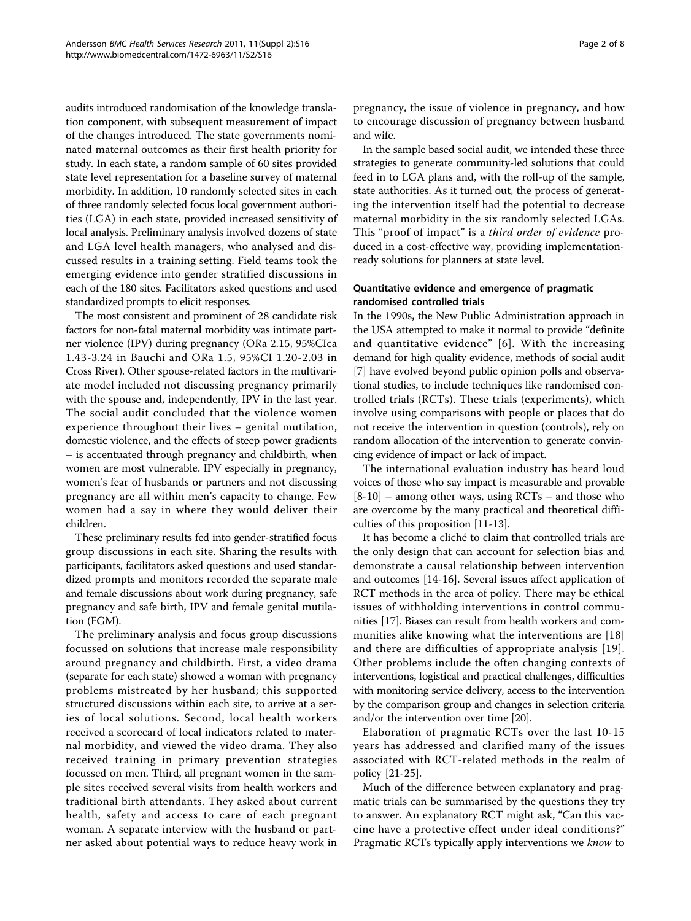audits introduced randomisation of the knowledge translation component, with subsequent measurement of impact of the changes introduced. The state governments nominated maternal outcomes as their first health priority for study. In each state, a random sample of 60 sites provided state level representation for a baseline survey of maternal morbidity. In addition, 10 randomly selected sites in each of three randomly selected focus local government authorities (LGA) in each state, provided increased sensitivity of local analysis. Preliminary analysis involved dozens of state and LGA level health managers, who analysed and discussed results in a training setting. Field teams took the emerging evidence into gender stratified discussions in each of the 180 sites. Facilitators asked questions and used standardized prompts to elicit responses.

The most consistent and prominent of 28 candidate risk factors for non-fatal maternal morbidity was intimate partner violence (IPV) during pregnancy (ORa 2.15, 95%CIca 1.43-3.24 in Bauchi and ORa 1.5, 95%CI 1.20-2.03 in Cross River). Other spouse-related factors in the multivariate model included not discussing pregnancy primarily with the spouse and, independently, IPV in the last year. The social audit concluded that the violence women experience throughout their lives – genital mutilation, domestic violence, and the effects of steep power gradients – is accentuated through pregnancy and childbirth, when women are most vulnerable. IPV especially in pregnancy, women's fear of husbands or partners and not discussing pregnancy are all within men's capacity to change. Few women had a say in where they would deliver their children.

These preliminary results fed into gender-stratified focus group discussions in each site. Sharing the results with participants, facilitators asked questions and used standardized prompts and monitors recorded the separate male and female discussions about work during pregnancy, safe pregnancy and safe birth, IPV and female genital mutilation (FGM).

The preliminary analysis and focus group discussions focussed on solutions that increase male responsibility around pregnancy and childbirth. First, a video drama (separate for each state) showed a woman with pregnancy problems mistreated by her husband; this supported structured discussions within each site, to arrive at a series of local solutions. Second, local health workers received a scorecard of local indicators related to maternal morbidity, and viewed the video drama. They also received training in primary prevention strategies focussed on men. Third, all pregnant women in the sample sites received several visits from health workers and traditional birth attendants. They asked about current health, safety and access to care of each pregnant woman. A separate interview with the husband or partner asked about potential ways to reduce heavy work in pregnancy, the issue of violence in pregnancy, and how to encourage discussion of pregnancy between husband and wife.

In the sample based social audit, we intended these three strategies to generate community-led solutions that could feed in to LGA plans and, with the roll-up of the sample, state authorities. As it turned out, the process of generating the intervention itself had the potential to decrease maternal morbidity in the six randomly selected LGAs. This "proof of impact" is a third order of evidence produced in a cost-effective way, providing implementationready solutions for planners at state level.

# Quantitative evidence and emergence of pragmatic randomised controlled trials

In the 1990s, the New Public Administration approach in the USA attempted to make it normal to provide "definite and quantitative evidence" [[6](#page-6-0)]. With the increasing demand for high quality evidence, methods of social audit [[7\]](#page-6-0) have evolved beyond public opinion polls and observational studies, to include techniques like randomised controlled trials (RCTs). These trials (experiments), which involve using comparisons with people or places that do not receive the intervention in question (controls), rely on random allocation of the intervention to generate convincing evidence of impact or lack of impact.

The international evaluation industry has heard loud voices of those who say impact is measurable and provable  $[8-10]$  $[8-10]$  $[8-10]$  – among other ways, using RCTs – and those who are overcome by the many practical and theoretical difficulties of this proposition [[11](#page-6-0)-[13](#page-6-0)].

It has become a cliché to claim that controlled trials are the only design that can account for selection bias and demonstrate a causal relationship between intervention and outcomes [\[14-16](#page-6-0)]. Several issues affect application of RCT methods in the area of policy. There may be ethical issues of withholding interventions in control communities [[17](#page-6-0)]. Biases can result from health workers and communities alike knowing what the interventions are [\[18](#page-6-0)] and there are difficulties of appropriate analysis [\[19\]](#page-6-0). Other problems include the often changing contexts of interventions, logistical and practical challenges, difficulties with monitoring service delivery, access to the intervention by the comparison group and changes in selection criteria and/or the intervention over time [\[20\]](#page-6-0).

Elaboration of pragmatic RCTs over the last 10-15 years has addressed and clarified many of the issues associated with RCT-related methods in the realm of policy [\[21-25](#page-6-0)].

Much of the difference between explanatory and pragmatic trials can be summarised by the questions they try to answer. An explanatory RCT might ask, "Can this vaccine have a protective effect under ideal conditions?" Pragmatic RCTs typically apply interventions we know to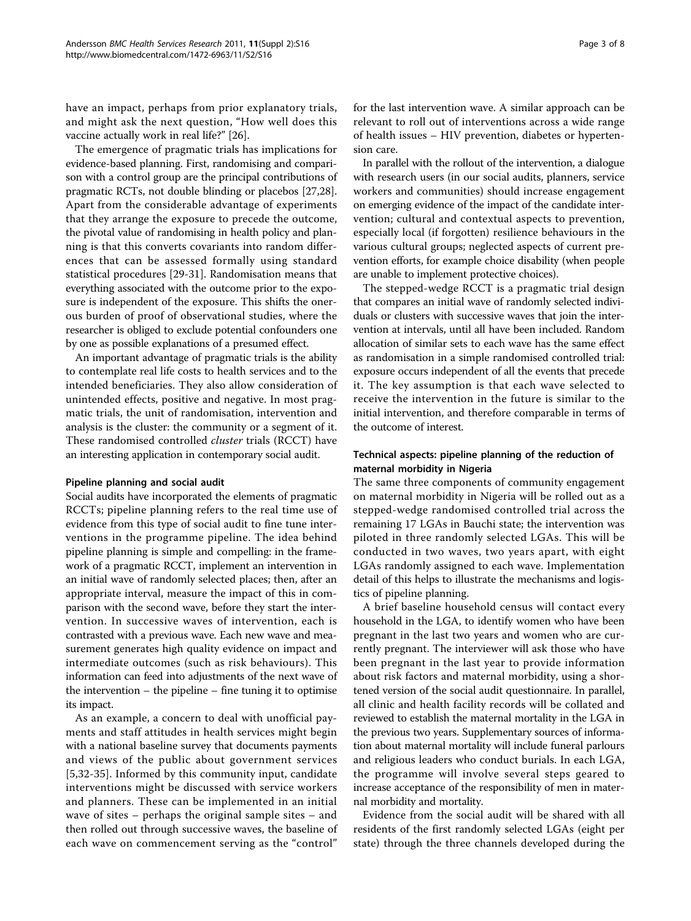have an impact, perhaps from prior explanatory trials, and might ask the next question, "How well does this vaccine actually work in real life?" [\[26\]](#page-7-0).

The emergence of pragmatic trials has implications for evidence-based planning. First, randomising and comparison with a control group are the principal contributions of pragmatic RCTs, not double blinding or placebos [[27,28](#page-7-0)]. Apart from the considerable advantage of experiments that they arrange the exposure to precede the outcome, the pivotal value of randomising in health policy and planning is that this converts covariants into random differences that can be assessed formally using standard statistical procedures [\[29](#page-7-0)-[31\]](#page-7-0). Randomisation means that everything associated with the outcome prior to the exposure is independent of the exposure. This shifts the onerous burden of proof of observational studies, where the researcher is obliged to exclude potential confounders one by one as possible explanations of a presumed effect.

An important advantage of pragmatic trials is the ability to contemplate real life costs to health services and to the intended beneficiaries. They also allow consideration of unintended effects, positive and negative. In most pragmatic trials, the unit of randomisation, intervention and analysis is the cluster: the community or a segment of it. These randomised controlled *cluster* trials (RCCT) have an interesting application in contemporary social audit.

## Pipeline planning and social audit

Social audits have incorporated the elements of pragmatic RCCTs; pipeline planning refers to the real time use of evidence from this type of social audit to fine tune interventions in the programme pipeline. The idea behind pipeline planning is simple and compelling: in the framework of a pragmatic RCCT, implement an intervention in an initial wave of randomly selected places; then, after an appropriate interval, measure the impact of this in comparison with the second wave, before they start the intervention. In successive waves of intervention, each is contrasted with a previous wave. Each new wave and measurement generates high quality evidence on impact and intermediate outcomes (such as risk behaviours). This information can feed into adjustments of the next wave of the intervention – the pipeline – fine tuning it to optimise its impact.

As an example, a concern to deal with unofficial payments and staff attitudes in health services might begin with a national baseline survey that documents payments and views of the public about government services [[5](#page-6-0)[,32](#page-7-0)-[35](#page-7-0)]. Informed by this community input, candidate interventions might be discussed with service workers and planners. These can be implemented in an initial wave of sites – perhaps the original sample sites – and then rolled out through successive waves, the baseline of each wave on commencement serving as the "control" for the last intervention wave. A similar approach can be relevant to roll out of interventions across a wide range of health issues – HIV prevention, diabetes or hypertension care.

In parallel with the rollout of the intervention, a dialogue with research users (in our social audits, planners, service workers and communities) should increase engagement on emerging evidence of the impact of the candidate intervention; cultural and contextual aspects to prevention, especially local (if forgotten) resilience behaviours in the various cultural groups; neglected aspects of current prevention efforts, for example choice disability (when people are unable to implement protective choices).

The stepped-wedge RCCT is a pragmatic trial design that compares an initial wave of randomly selected individuals or clusters with successive waves that join the intervention at intervals, until all have been included. Random allocation of similar sets to each wave has the same effect as randomisation in a simple randomised controlled trial: exposure occurs independent of all the events that precede it. The key assumption is that each wave selected to receive the intervention in the future is similar to the initial intervention, and therefore comparable in terms of the outcome of interest.

## Technical aspects: pipeline planning of the reduction of maternal morbidity in Nigeria

The same three components of community engagement on maternal morbidity in Nigeria will be rolled out as a stepped-wedge randomised controlled trial across the remaining 17 LGAs in Bauchi state; the intervention was piloted in three randomly selected LGAs. This will be conducted in two waves, two years apart, with eight LGAs randomly assigned to each wave. Implementation detail of this helps to illustrate the mechanisms and logistics of pipeline planning.

A brief baseline household census will contact every household in the LGA, to identify women who have been pregnant in the last two years and women who are currently pregnant. The interviewer will ask those who have been pregnant in the last year to provide information about risk factors and maternal morbidity, using a shortened version of the social audit questionnaire. In parallel, all clinic and health facility records will be collated and reviewed to establish the maternal mortality in the LGA in the previous two years. Supplementary sources of information about maternal mortality will include funeral parlours and religious leaders who conduct burials. In each LGA, the programme will involve several steps geared to increase acceptance of the responsibility of men in maternal morbidity and mortality.

Evidence from the social audit will be shared with all residents of the first randomly selected LGAs (eight per state) through the three channels developed during the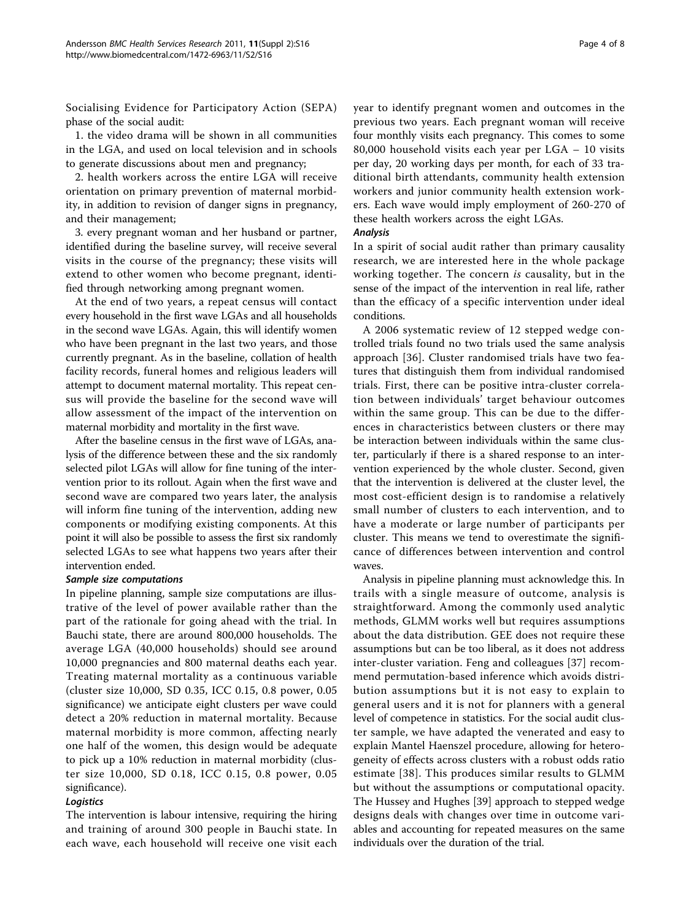Socialising Evidence for Participatory Action (SEPA) phase of the social audit:

1. the video drama will be shown in all communities in the LGA, and used on local television and in schools to generate discussions about men and pregnancy;

2. health workers across the entire LGA will receive orientation on primary prevention of maternal morbidity, in addition to revision of danger signs in pregnancy, and their management;

3. every pregnant woman and her husband or partner, identified during the baseline survey, will receive several visits in the course of the pregnancy; these visits will extend to other women who become pregnant, identified through networking among pregnant women.

At the end of two years, a repeat census will contact every household in the first wave LGAs and all households in the second wave LGAs. Again, this will identify women who have been pregnant in the last two years, and those currently pregnant. As in the baseline, collation of health facility records, funeral homes and religious leaders will attempt to document maternal mortality. This repeat census will provide the baseline for the second wave will allow assessment of the impact of the intervention on maternal morbidity and mortality in the first wave.

After the baseline census in the first wave of LGAs, analysis of the difference between these and the six randomly selected pilot LGAs will allow for fine tuning of the intervention prior to its rollout. Again when the first wave and second wave are compared two years later, the analysis will inform fine tuning of the intervention, adding new components or modifying existing components. At this point it will also be possible to assess the first six randomly selected LGAs to see what happens two years after their intervention ended.

Sample size computations In pipeline planning, sample size computations are illustrative of the level of power available rather than the part of the rationale for going ahead with the trial. In Bauchi state, there are around 800,000 households. The average LGA (40,000 households) should see around 10,000 pregnancies and 800 maternal deaths each year. Treating maternal mortality as a continuous variable (cluster size 10,000, SD 0.35, ICC 0.15, 0.8 power, 0.05 significance) we anticipate eight clusters per wave could detect a 20% reduction in maternal mortality. Because maternal morbidity is more common, affecting nearly one half of the women, this design would be adequate to pick up a 10% reduction in maternal morbidity (cluster size 10,000, SD 0.18, ICC 0.15, 0.8 power, 0.05 significance).

**The intervention is labour intensive, requiring the hiring** and training of around 300 people in Bauchi state. In each wave, each household will receive one visit each year to identify pregnant women and outcomes in the previous two years. Each pregnant woman will receive four monthly visits each pregnancy. This comes to some 80,000 household visits each year per LGA – 10 visits per day, 20 working days per month, for each of 33 traditional birth attendants, community health extension workers and junior community health extension workers. Each wave would imply employment of 260-270 of these health workers across the eight LGAs.

In a spirit of social audit rather than primary causality research, we are interested here in the whole package working together. The concern is causality, but in the sense of the impact of the intervention in real life, rather than the efficacy of a specific intervention under ideal conditions.

A 2006 systematic review of 12 stepped wedge controlled trials found no two trials used the same analysis approach [\[36\]](#page-7-0). Cluster randomised trials have two features that distinguish them from individual randomised trials. First, there can be positive intra-cluster correlation between individuals' target behaviour outcomes within the same group. This can be due to the differences in characteristics between clusters or there may be interaction between individuals within the same cluster, particularly if there is a shared response to an intervention experienced by the whole cluster. Second, given that the intervention is delivered at the cluster level, the most cost-efficient design is to randomise a relatively small number of clusters to each intervention, and to have a moderate or large number of participants per cluster. This means we tend to overestimate the significance of differences between intervention and control waves.

Analysis in pipeline planning must acknowledge this. In trails with a single measure of outcome, analysis is straightforward. Among the commonly used analytic methods, GLMM works well but requires assumptions about the data distribution. GEE does not require these assumptions but can be too liberal, as it does not address inter-cluster variation. Feng and colleagues [\[37](#page-7-0)] recommend permutation-based inference which avoids distribution assumptions but it is not easy to explain to general users and it is not for planners with a general level of competence in statistics. For the social audit cluster sample, we have adapted the venerated and easy to explain Mantel Haenszel procedure, allowing for heterogeneity of effects across clusters with a robust odds ratio estimate [[38\]](#page-7-0). This produces similar results to GLMM but without the assumptions or computational opacity. The Hussey and Hughes [[39\]](#page-7-0) approach to stepped wedge designs deals with changes over time in outcome variables and accounting for repeated measures on the same individuals over the duration of the trial.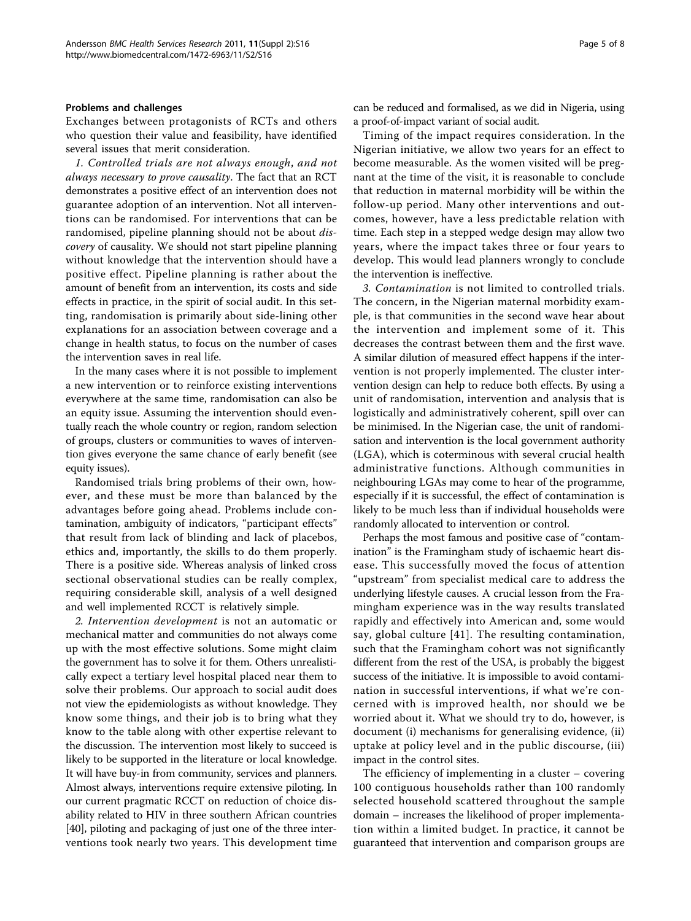### Problems and challenges

Exchanges between protagonists of RCTs and others who question their value and feasibility, have identified several issues that merit consideration.

1. Controlled trials are not always enough, and not always necessary to prove causality. The fact that an RCT demonstrates a positive effect of an intervention does not guarantee adoption of an intervention. Not all interventions can be randomised. For interventions that can be randomised, pipeline planning should not be about discovery of causality. We should not start pipeline planning without knowledge that the intervention should have a positive effect. Pipeline planning is rather about the amount of benefit from an intervention, its costs and side effects in practice, in the spirit of social audit. In this setting, randomisation is primarily about side-lining other explanations for an association between coverage and a change in health status, to focus on the number of cases the intervention saves in real life.

In the many cases where it is not possible to implement a new intervention or to reinforce existing interventions everywhere at the same time, randomisation can also be an equity issue. Assuming the intervention should eventually reach the whole country or region, random selection of groups, clusters or communities to waves of intervention gives everyone the same chance of early benefit (see equity issues).

Randomised trials bring problems of their own, however, and these must be more than balanced by the advantages before going ahead. Problems include contamination, ambiguity of indicators, "participant effects" that result from lack of blinding and lack of placebos, ethics and, importantly, the skills to do them properly. There is a positive side. Whereas analysis of linked cross sectional observational studies can be really complex, requiring considerable skill, analysis of a well designed and well implemented RCCT is relatively simple.

2. Intervention development is not an automatic or mechanical matter and communities do not always come up with the most effective solutions. Some might claim the government has to solve it for them. Others unrealistically expect a tertiary level hospital placed near them to solve their problems. Our approach to social audit does not view the epidemiologists as without knowledge. They know some things, and their job is to bring what they know to the table along with other expertise relevant to the discussion. The intervention most likely to succeed is likely to be supported in the literature or local knowledge. It will have buy-in from community, services and planners. Almost always, interventions require extensive piloting. In our current pragmatic RCCT on reduction of choice disability related to HIV in three southern African countries [[40\]](#page-7-0), piloting and packaging of just one of the three interventions took nearly two years. This development time can be reduced and formalised, as we did in Nigeria, using a proof-of-impact variant of social audit.

Timing of the impact requires consideration. In the Nigerian initiative, we allow two years for an effect to become measurable. As the women visited will be pregnant at the time of the visit, it is reasonable to conclude that reduction in maternal morbidity will be within the follow-up period. Many other interventions and outcomes, however, have a less predictable relation with time. Each step in a stepped wedge design may allow two years, where the impact takes three or four years to develop. This would lead planners wrongly to conclude the intervention is ineffective.

3. Contamination is not limited to controlled trials. The concern, in the Nigerian maternal morbidity example, is that communities in the second wave hear about the intervention and implement some of it. This decreases the contrast between them and the first wave. A similar dilution of measured effect happens if the intervention is not properly implemented. The cluster intervention design can help to reduce both effects. By using a unit of randomisation, intervention and analysis that is logistically and administratively coherent, spill over can be minimised. In the Nigerian case, the unit of randomisation and intervention is the local government authority (LGA), which is coterminous with several crucial health administrative functions. Although communities in neighbouring LGAs may come to hear of the programme, especially if it is successful, the effect of contamination is likely to be much less than if individual households were randomly allocated to intervention or control.

Perhaps the most famous and positive case of "contamination" is the Framingham study of ischaemic heart disease. This successfully moved the focus of attention "upstream" from specialist medical care to address the underlying lifestyle causes. A crucial lesson from the Framingham experience was in the way results translated rapidly and effectively into American and, some would say, global culture [[41\]](#page-7-0). The resulting contamination, such that the Framingham cohort was not significantly different from the rest of the USA, is probably the biggest success of the initiative. It is impossible to avoid contamination in successful interventions, if what we're concerned with is improved health, nor should we be worried about it. What we should try to do, however, is document (i) mechanisms for generalising evidence, (ii) uptake at policy level and in the public discourse, (iii) impact in the control sites.

The efficiency of implementing in a cluster – covering 100 contiguous households rather than 100 randomly selected household scattered throughout the sample domain – increases the likelihood of proper implementation within a limited budget. In practice, it cannot be guaranteed that intervention and comparison groups are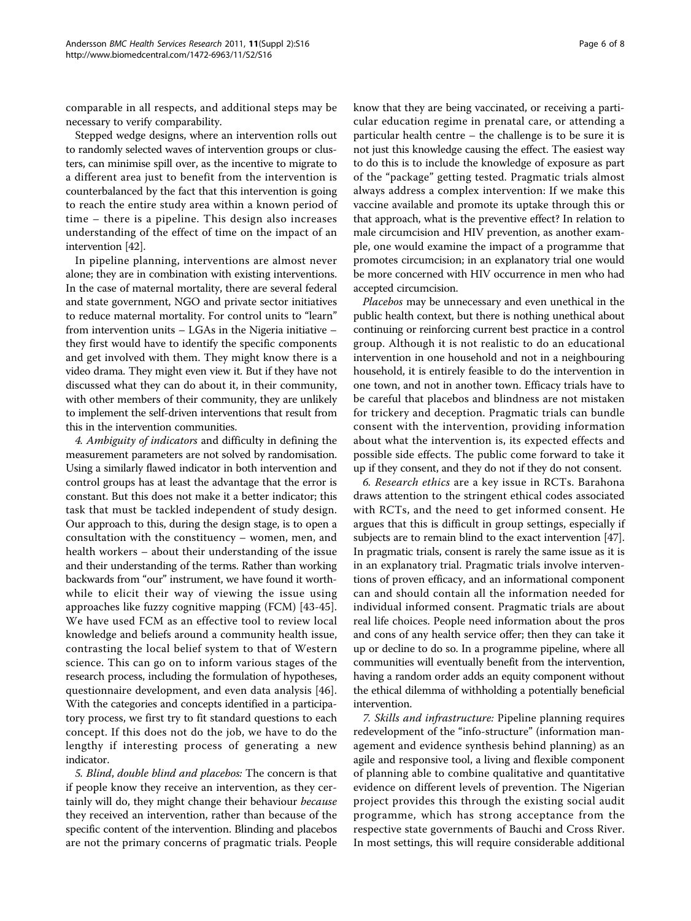comparable in all respects, and additional steps may be necessary to verify comparability.

Stepped wedge designs, where an intervention rolls out to randomly selected waves of intervention groups or clusters, can minimise spill over, as the incentive to migrate to a different area just to benefit from the intervention is counterbalanced by the fact that this intervention is going to reach the entire study area within a known period of time – there is a pipeline. This design also increases understanding of the effect of time on the impact of an intervention [[42](#page-7-0)].

In pipeline planning, interventions are almost never alone; they are in combination with existing interventions. In the case of maternal mortality, there are several federal and state government, NGO and private sector initiatives to reduce maternal mortality. For control units to "learn" from intervention units – LGAs in the Nigeria initiative – they first would have to identify the specific components and get involved with them. They might know there is a video drama. They might even view it. But if they have not discussed what they can do about it, in their community, with other members of their community, they are unlikely to implement the self-driven interventions that result from this in the intervention communities.

4. Ambiguity of indicators and difficulty in defining the measurement parameters are not solved by randomisation. Using a similarly flawed indicator in both intervention and control groups has at least the advantage that the error is constant. But this does not make it a better indicator; this task that must be tackled independent of study design. Our approach to this, during the design stage, is to open a consultation with the constituency – women, men, and health workers – about their understanding of the issue and their understanding of the terms. Rather than working backwards from "our" instrument, we have found it worthwhile to elicit their way of viewing the issue using approaches like fuzzy cognitive mapping (FCM) [[43-45](#page-7-0)]. We have used FCM as an effective tool to review local knowledge and beliefs around a community health issue, contrasting the local belief system to that of Western science. This can go on to inform various stages of the research process, including the formulation of hypotheses, questionnaire development, and even data analysis [[46](#page-7-0)]. With the categories and concepts identified in a participatory process, we first try to fit standard questions to each concept. If this does not do the job, we have to do the lengthy if interesting process of generating a new indicator.

5. Blind, double blind and placebos: The concern is that if people know they receive an intervention, as they certainly will do, they might change their behaviour because they received an intervention, rather than because of the specific content of the intervention. Blinding and placebos are not the primary concerns of pragmatic trials. People know that they are being vaccinated, or receiving a particular education regime in prenatal care, or attending a particular health centre – the challenge is to be sure it is not just this knowledge causing the effect. The easiest way to do this is to include the knowledge of exposure as part of the "package" getting tested. Pragmatic trials almost always address a complex intervention: If we make this vaccine available and promote its uptake through this or that approach, what is the preventive effect? In relation to male circumcision and HIV prevention, as another example, one would examine the impact of a programme that promotes circumcision; in an explanatory trial one would be more concerned with HIV occurrence in men who had accepted circumcision.

Placebos may be unnecessary and even unethical in the public health context, but there is nothing unethical about continuing or reinforcing current best practice in a control group. Although it is not realistic to do an educational intervention in one household and not in a neighbouring household, it is entirely feasible to do the intervention in one town, and not in another town. Efficacy trials have to be careful that placebos and blindness are not mistaken for trickery and deception. Pragmatic trials can bundle consent with the intervention, providing information about what the intervention is, its expected effects and possible side effects. The public come forward to take it up if they consent, and they do not if they do not consent.

6. Research ethics are a key issue in RCTs. Barahona draws attention to the stringent ethical codes associated with RCTs, and the need to get informed consent. He argues that this is difficult in group settings, especially if subjects are to remain blind to the exact intervention [[47](#page-7-0)]. In pragmatic trials, consent is rarely the same issue as it is in an explanatory trial. Pragmatic trials involve interventions of proven efficacy, and an informational component can and should contain all the information needed for individual informed consent. Pragmatic trials are about real life choices. People need information about the pros and cons of any health service offer; then they can take it up or decline to do so. In a programme pipeline, where all communities will eventually benefit from the intervention, having a random order adds an equity component without the ethical dilemma of withholding a potentially beneficial intervention.

7. Skills and infrastructure: Pipeline planning requires redevelopment of the "info-structure" (information management and evidence synthesis behind planning) as an agile and responsive tool, a living and flexible component of planning able to combine qualitative and quantitative evidence on different levels of prevention. The Nigerian project provides this through the existing social audit programme, which has strong acceptance from the respective state governments of Bauchi and Cross River. In most settings, this will require considerable additional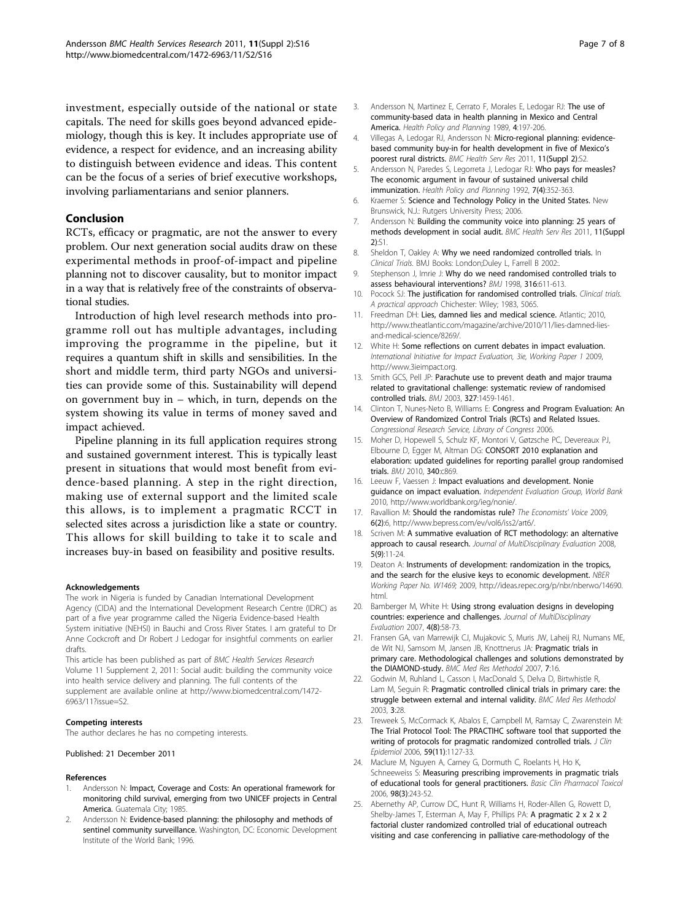<span id="page-6-0"></span>investment, especially outside of the national or state capitals. The need for skills goes beyond advanced epidemiology, though this is key. It includes appropriate use of evidence, a respect for evidence, and an increasing ability to distinguish between evidence and ideas. This content can be the focus of a series of brief executive workshops, involving parliamentarians and senior planners.

# Conclusion

RCTs, efficacy or pragmatic, are not the answer to every problem. Our next generation social audits draw on these experimental methods in proof-of-impact and pipeline planning not to discover causality, but to monitor impact in a way that is relatively free of the constraints of observational studies.

Introduction of high level research methods into programme roll out has multiple advantages, including improving the programme in the pipeline, but it requires a quantum shift in skills and sensibilities. In the short and middle term, third party NGOs and universities can provide some of this. Sustainability will depend on government buy in – which, in turn, depends on the system showing its value in terms of money saved and impact achieved.

Pipeline planning in its full application requires strong and sustained government interest. This is typically least present in situations that would most benefit from evidence-based planning. A step in the right direction, making use of external support and the limited scale this allows, is to implement a pragmatic RCCT in selected sites across a jurisdiction like a state or country. This allows for skill building to take it to scale and increases buy-in based on feasibility and positive results.

### Acknowledgements

The work in Nigeria is funded by Canadian International Development Agency (CIDA) and the International Development Research Centre (IDRC) as part of a five year programme called the Nigeria Evidence-based Health System initiative (NEHSI) in Bauchi and Cross River States. I am grateful to Dr Anne Cockcroft and Dr Robert J Ledogar for insightful comments on earlier drafts.

This article has been published as part of BMC Health Services Research Volume 11 Supplement 2, 2011: Social audit: building the community voice into health service delivery and planning. The full contents of the supplement are available online at [http://www.biomedcentral.com/1472-](http://www.biomedcentral.com/1472-6963/11?issue=S2) [6963/11?issue=S2.](http://www.biomedcentral.com/1472-6963/11?issue=S2)

### Competing interests

The author declares he has no competing interests.

### Published: 21 December 2011

### References

- 1. Andersson N: Impact, Coverage and Costs: An operational framework for monitoring child survival, emerging from two UNICEF projects in Central America. Guatemala City; 1985.
- Andersson N: Evidence-based planning: the philosophy and methods of sentinel community surveillance. Washington, DC: Economic Development Institute of the World Bank; 1996.
- 3. Andersson N, Martinez E, Cerrato F, Morales E, Ledogar RJ: The use of community-based data in health planning in Mexico and Central America. Health Policy and Planning 1989, 4:197-206.
- 4. Villegas A, Ledogar RJ, Andersson N: Micro-regional planning: evidencebased community buy-in for health development in five of Mexico's poorest rural districts. BMC Health Serv Res 2011, 11(Suppl 2):S2.
- 5. Andersson N, Paredes S, Legorreta J, Ledogar RJ: Who pays for measles? The economic argument in favour of sustained universal child immunization. Health Policy and Planning 1992, 7(4):352-363.
- 6. Kraemer S: Science and Technology Policy in the United States. New Brunswick, N.J.: Rutgers University Press; 2006.
- 7. Andersson N: Building the community voice into planning: 25 years of methods development in social audit. BMC Health Serv Res 2011, 11(Suppl 2):S1.
- 8. Sheldon T, Oakley A: Why we need randomized controlled trials. In Clinical Trials. BMJ Books: London;Duley L, Farrell B 2002:.
- 9. Stephenson J, Imrie J: [Why do we need randomised controlled trials to](http://www.ncbi.nlm.nih.gov/pubmed/9518919?dopt=Abstract) [assess behavioural interventions?](http://www.ncbi.nlm.nih.gov/pubmed/9518919?dopt=Abstract) BMJ 1998, 316:611-613.
- 10. Pocock SJ: The justification for randomised controlled trials. Clinical trials. A practical approach Chichester: Wiley; 1983, 5065.
- 11. Freedman DH: Lies, damned lies and medical science. Atlantic; 2010, http://www.theatlantic.com/magazine/archive/2010/11/lies-damned-liesand-medical-science/8269/.
- 12. White H: Some reflections on current debates in impact evaluation. International Initiative for Impact Evaluation, 3ie, Working Paper 1 2009, http://www.3ieimpact.org.
- 13. Smith GCS, Pell JP: [Parachute use to prevent death and major trauma](http://www.ncbi.nlm.nih.gov/pubmed/14684649?dopt=Abstract) [related to gravitational challenge: systematic review of randomised](http://www.ncbi.nlm.nih.gov/pubmed/14684649?dopt=Abstract) [controlled trials.](http://www.ncbi.nlm.nih.gov/pubmed/14684649?dopt=Abstract) BMJ 2003, 327:1459-1461.
- 14. Clinton T, Nunes-Neto B, Williams E: Congress and Program Evaluation: An Overview of Randomized Control Trials (RCTs) and Related Issues. Congressional Research Service, Library of Congress 2006.
- 15. Moher D, Hopewell S, Schulz KF, Montori V, Gøtzsche PC, Devereaux PJ, Elbourne D, Egger M, Altman DG: [CONSORT 2010 explanation and](http://www.ncbi.nlm.nih.gov/pubmed/20332511?dopt=Abstract) [elaboration: updated guidelines for reporting parallel group randomised](http://www.ncbi.nlm.nih.gov/pubmed/20332511?dopt=Abstract) [trials.](http://www.ncbi.nlm.nih.gov/pubmed/20332511?dopt=Abstract) BMJ 2010, 340:c869.
- 16. Leeuw F, Vaessen J: Impact evaluations and development. Nonie guidance on impact evaluation. Independent Evaluation Group, World Bank 2010, http://www.worldbank.org/ieg/nonie/.
- 17. Ravallion M: Should the randomistas rule? The Economists' Voice 2009, 6(2):6, http://www.bepress.com/ev/vol6/iss2/art6/.
- 18. Scriven M: A summative evaluation of RCT methodology: an alternative approach to causal research. Journal of MultiDisciplinary Evaluation 2008, 5(9):11-24.
- 19. Deaton A: Instruments of development: randomization in the tropics, and the search for the elusive keys to economic development. NBER Working Paper No. W1469; 2009, http://ideas.repec.org/p/nbr/nberwo/14690. html.
- 20. Bamberger M, White H: Using strong evaluation designs in developing countries: experience and challenges. Journal of MultiDisciplinary Evaluation 2007, 4(8):58-73.
- 21. Fransen GA, van Marrewijk CJ, Mujakovic S, Muris JW, Laheij RJ, Numans ME, de Wit NJ, Samsom M, Jansen JB, Knottnerus JA: [Pragmatic trials in](http://www.ncbi.nlm.nih.gov/pubmed/17451599?dopt=Abstract) [primary care. Methodological challenges and solutions demonstrated by](http://www.ncbi.nlm.nih.gov/pubmed/17451599?dopt=Abstract) [the DIAMOND-study.](http://www.ncbi.nlm.nih.gov/pubmed/17451599?dopt=Abstract) BMC Med Res Methodol 2007, 7:16.
- 22. Godwin M, Ruhland L, Casson I, MacDonald S, Delva D, Birtwhistle R, Lam M, Seguin R: [Pragmatic controlled clinical trials in primary care: the](http://www.ncbi.nlm.nih.gov/pubmed/14690550?dopt=Abstract) [struggle between external and internal validity.](http://www.ncbi.nlm.nih.gov/pubmed/14690550?dopt=Abstract) BMC Med Res Methodol 2003, 3:28.
- 23. Treweek S, McCormack K, Abalos E, Campbell M, Ramsay C, Zwarenstein M: [The Trial Protocol Tool: The PRACTIHC software tool that supported the](http://www.ncbi.nlm.nih.gov/pubmed/17027422?dopt=Abstract) [writing of protocols for pragmatic randomized controlled trials.](http://www.ncbi.nlm.nih.gov/pubmed/17027422?dopt=Abstract) J Clin Epidemiol 2006, 59(11):1127-33.
- 24. Maclure M, Nguyen A, Carney G, Dormuth C, Roelants H, Ho K, Schneeweiss S: [Measuring prescribing improvements in pragmatic trials](http://www.ncbi.nlm.nih.gov/pubmed/16611198?dopt=Abstract) [of educational tools for general practitioners.](http://www.ncbi.nlm.nih.gov/pubmed/16611198?dopt=Abstract) Basic Clin Pharmacol Toxicol 2006, 98(3):243-52.
- 25. Abernethy AP, Currow DC, Hunt R, Williams H, Roder-Allen G, Rowett D, Shelby-James T, Esterman A, May F, Phillips PA: [A pragmatic 2 x 2 x 2](http://www.ncbi.nlm.nih.gov/pubmed/16290094?dopt=Abstract) [factorial cluster randomized controlled trial of educational outreach](http://www.ncbi.nlm.nih.gov/pubmed/16290094?dopt=Abstract) [visiting and case conferencing in palliative care-methodology of the](http://www.ncbi.nlm.nih.gov/pubmed/16290094?dopt=Abstract)